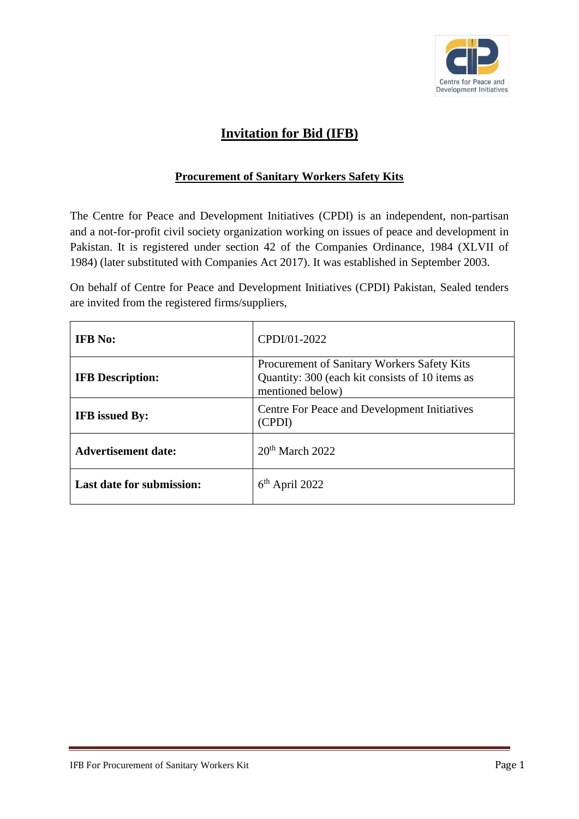

# **Invitation for Bid (IFB)**

# **Procurement of Sanitary Workers Safety Kits**

The Centre for Peace and Development Initiatives (CPDI) is an independent, non-partisan and a not-for-profit civil society organization working on issues of peace and development in Pakistan. It is registered under section 42 of the Companies Ordinance, 1984 (XLVII of 1984) (later substituted with Companies Act 2017). It was established in September 2003.

On behalf of Centre for Peace and Development Initiatives (CPDI) Pakistan, Sealed tenders are invited from the registered firms/suppliers,

| <b>IFB</b> No:                   | CPDI/01-2022                                                                                                       |
|----------------------------------|--------------------------------------------------------------------------------------------------------------------|
| <b>IFB</b> Description:          | Procurement of Sanitary Workers Safety Kits<br>Quantity: 300 (each kit consists of 10 items as<br>mentioned below) |
| <b>IFB</b> issued By:            | Centre For Peace and Development Initiatives<br>(CPDI)                                                             |
| <b>Advertisement date:</b>       | $20th$ March 2022                                                                                                  |
| <b>Last date for submission:</b> | $6th$ April 2022                                                                                                   |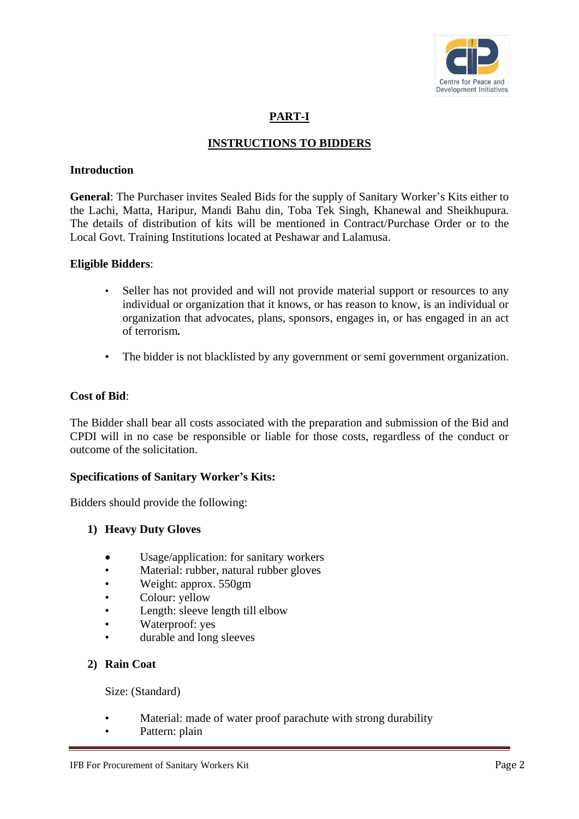

# **PART-I**

# **INSTRUCTIONS TO BIDDERS**

## **Introduction**

**General**: The Purchaser invites Sealed Bids for the supply of Sanitary Worker's Kits either to the Lachi, Matta, Haripur, Mandi Bahu din, Toba Tek Singh, Khanewal and Sheikhupura. The details of distribution of kits will be mentioned in Contract/Purchase Order or to the Local Govt. Training Institutions located at Peshawar and Lalamusa.

#### **Eligible Bidders**:

- Seller has not provided and will not provide material support or resources to any individual or organization that it knows, or has reason to know, is an individual or organization that advocates, plans, sponsors, engages in, or has engaged in an act of terrorism*.*
- The bidder is not blacklisted by any government or semi government organization.

## **Cost of Bid**:

The Bidder shall bear all costs associated with the preparation and submission of the Bid and CPDI will in no case be responsible or liable for those costs, regardless of the conduct or outcome of the solicitation.

## **Specifications of Sanitary Worker's Kits:**

Bidders should provide the following:

## **1) Heavy Duty Gloves**

- Usage/application: for sanitary workers
- Material: rubber, natural rubber gloves
- Weight: approx. 550gm
- Colour: yellow
- Length: sleeve length till elbow
- Waterproof: yes
- durable and long sleeves

## **2) Rain Coat**

Size: (Standard)

- Material: made of water proof parachute with strong durability
- Pattern: plain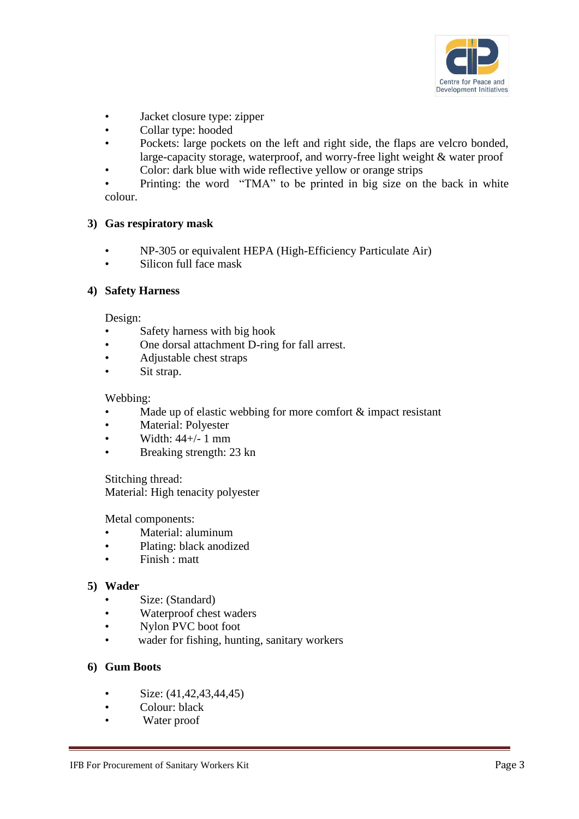

- Jacket closure type: zipper
- Collar type: hooded
- Pockets: large pockets on the left and right side, the flaps are velcro bonded, large-capacity storage, waterproof, and worry-free light weight & water proof
- Color: dark blue with wide reflective yellow or orange strips

Printing: the word "TMA" to be printed in big size on the back in white colour.

#### **3) Gas respiratory mask**

- NP-305 or equivalent HEPA (High-Efficiency Particulate Air)
- Silicon full face mask

## **4) Safety Harness**

#### Design:

- Safety harness with big hook
- One dorsal attachment D-ring for fall arrest.
- Adjustable chest straps
- Sit strap.

#### Webbing:

- Made up of elastic webbing for more comfort  $\&$  impact resistant
- Material: Polvester
- Width: 44+/- 1 mm
- Breaking strength: 23 kn

Stitching thread: Material: High tenacity polyester

Metal components:

- Material: aluminum
- Plating: black anodized
- Finish : matt

#### **5) Wader**

- Size: (Standard)
- Waterproof chest waders
- Nylon PVC boot foot
- wader for fishing, hunting, sanitary workers

## **6) Gum Boots**

- Size: (41,42,43,44,45)
- Colour: black
- Water proof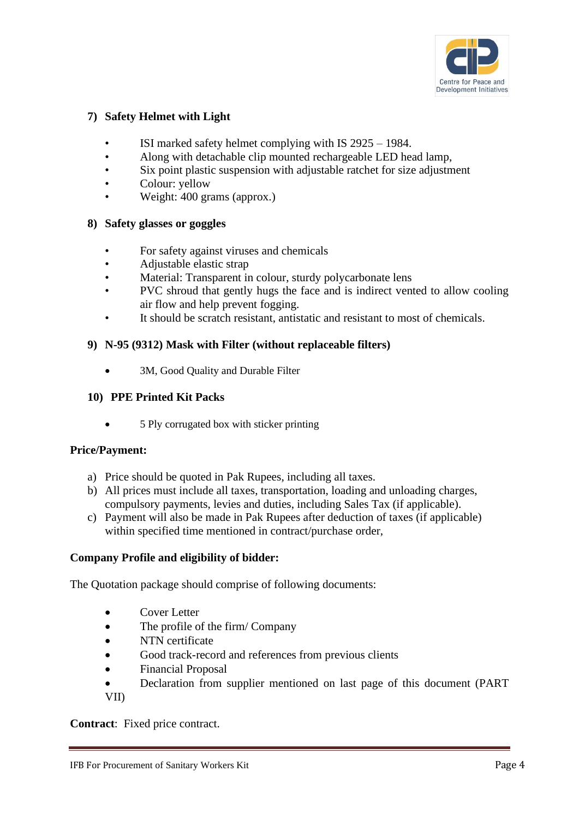

# **7) Safety Helmet with Light**

- ISI marked safety helmet complying with IS 2925 1984.
- Along with detachable clip mounted rechargeable LED head lamp,
- Six point plastic suspension with adjustable ratchet for size adjustment
- Colour: yellow
- Weight: 400 grams (approx.)

# **8) Safety glasses or goggles**

- For safety against viruses and chemicals
- Adjustable elastic strap
- Material: Transparent in colour, sturdy polycarbonate lens
- PVC shroud that gently hugs the face and is indirect vented to allow cooling air flow and help prevent fogging.
- It should be scratch resistant, antistatic and resistant to most of chemicals.

# **9) N-95 (9312) Mask with Filter (without replaceable filters)**

3M, Good Quality and Durable Filter

## **10) PPE Printed Kit Packs**

• 5 Ply corrugated box with sticker printing

## **Price/Payment:**

- a) Price should be quoted in Pak Rupees, including all taxes.
- b) All prices must include all taxes, transportation, loading and unloading charges, compulsory payments, levies and duties, including Sales Tax (if applicable).
- c) Payment will also be made in Pak Rupees after deduction of taxes (if applicable) within specified time mentioned in contract/purchase order,

# **Company Profile and eligibility of bidder:**

The Quotation package should comprise of following documents:

- Cover Letter
- The profile of the firm/ Company
- NTN certificate
- Good track-record and references from previous clients
- Financial Proposal
- Declaration from supplier mentioned on last page of this document (PART VII)

**Contract**: Fixed price contract.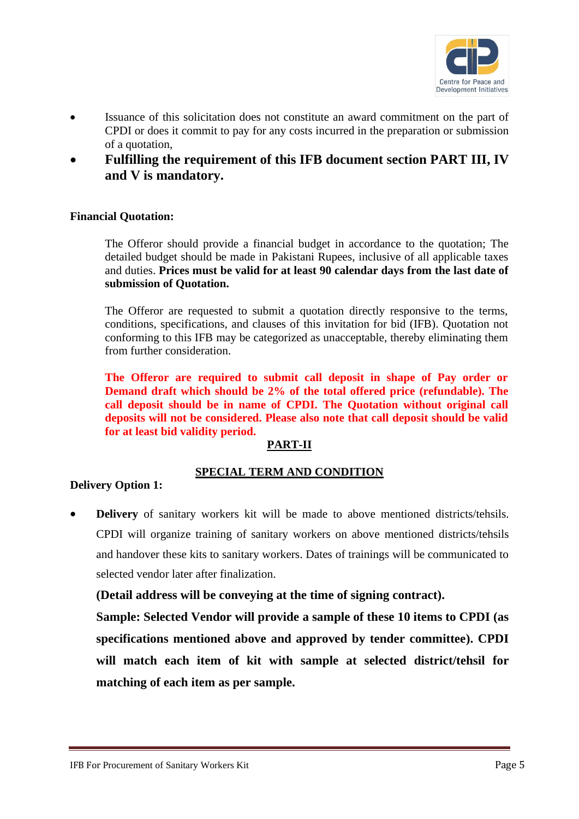

- Issuance of this solicitation does not constitute an award commitment on the part of CPDI or does it commit to pay for any costs incurred in the preparation or submission of a quotation,
- **Fulfilling the requirement of this IFB document section PART III, IV and V is mandatory.**

## **Financial Quotation:**

The Offeror should provide a financial budget in accordance to the quotation; The detailed budget should be made in Pakistani Rupees, inclusive of all applicable taxes and duties. **Prices must be valid for at least 90 calendar days from the last date of submission of Quotation.**

The Offeror are requested to submit a quotation directly responsive to the terms, conditions, specifications, and clauses of this invitation for bid (IFB). Quotation not conforming to this IFB may be categorized as unacceptable, thereby eliminating them from further consideration.

**The Offeror are required to submit call deposit in shape of Pay order or Demand draft which should be 2% of the total offered price (refundable). The call deposit should be in name of CPDI. The Quotation without original call deposits will not be considered. Please also note that call deposit should be valid for at least bid validity period.**

# **PART-II**

## **SPECIAL TERM AND CONDITION**

## **Delivery Option 1:**

• **Delivery** of sanitary workers kit will be made to above mentioned districts/tehsils. CPDI will organize training of sanitary workers on above mentioned districts/tehsils and handover these kits to sanitary workers. Dates of trainings will be communicated to selected vendor later after finalization.

**(Detail address will be conveying at the time of signing contract).**

**Sample: Selected Vendor will provide a sample of these 10 items to CPDI (as specifications mentioned above and approved by tender committee). CPDI will match each item of kit with sample at selected district/tehsil for matching of each item as per sample.**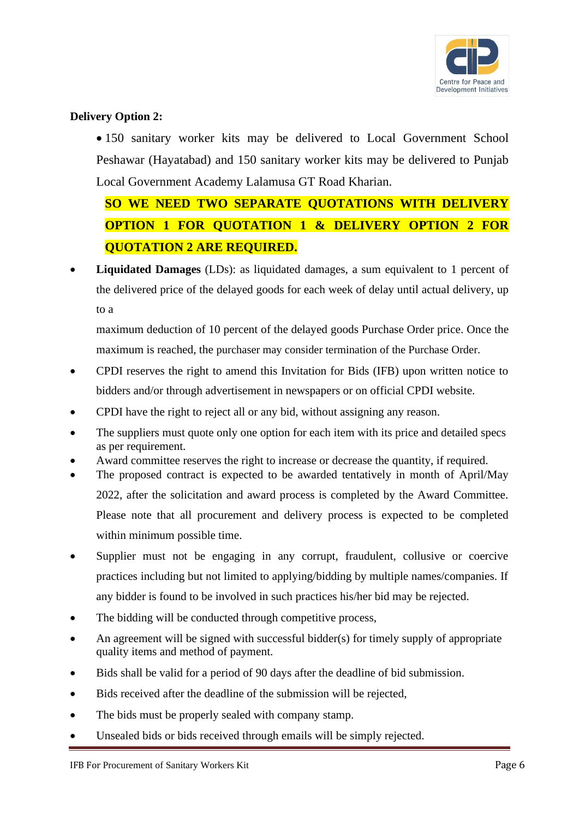

# **Delivery Option 2:**

• 150 sanitary worker kits may be delivered to Local Government School Peshawar (Hayatabad) and 150 sanitary worker kits may be delivered to Punjab Local Government Academy Lalamusa GT Road Kharian.

# **SO WE NEED TWO SEPARATE QUOTATIONS WITH DELIVERY OPTION 1 FOR QUOTATION 1 & DELIVERY OPTION 2 FOR QUOTATION 2 ARE REQUIRED.**

**Liquidated Damages** (LDs): as liquidated damages, a sum equivalent to 1 percent of the delivered price of the delayed goods for each week of delay until actual delivery, up to a

maximum deduction of 10 percent of the delayed goods Purchase Order price. Once the maximum is reached, the purchaser may consider termination of the Purchase Order.

- CPDI reserves the right to amend this Invitation for Bids (IFB) upon written notice to bidders and/or through advertisement in newspapers or on official CPDI website.
- CPDI have the right to reject all or any bid, without assigning any reason.
- The suppliers must quote only one option for each item with its price and detailed specs as per requirement.
- Award committee reserves the right to increase or decrease the quantity, if required.
- The proposed contract is expected to be awarded tentatively in month of April/May 2022, after the solicitation and award process is completed by the Award Committee. Please note that all procurement and delivery process is expected to be completed within minimum possible time.
- Supplier must not be engaging in any corrupt, fraudulent, collusive or coercive practices including but not limited to applying/bidding by multiple names/companies. If any bidder is found to be involved in such practices his/her bid may be rejected.
- The bidding will be conducted through competitive process,
- An agreement will be signed with successful bidder(s) for timely supply of appropriate quality items and method of payment.
- Bids shall be valid for a period of 90 days after the deadline of bid submission.
- Bids received after the deadline of the submission will be rejected,
- The bids must be properly sealed with company stamp.
- Unsealed bids or bids received through emails will be simply rejected.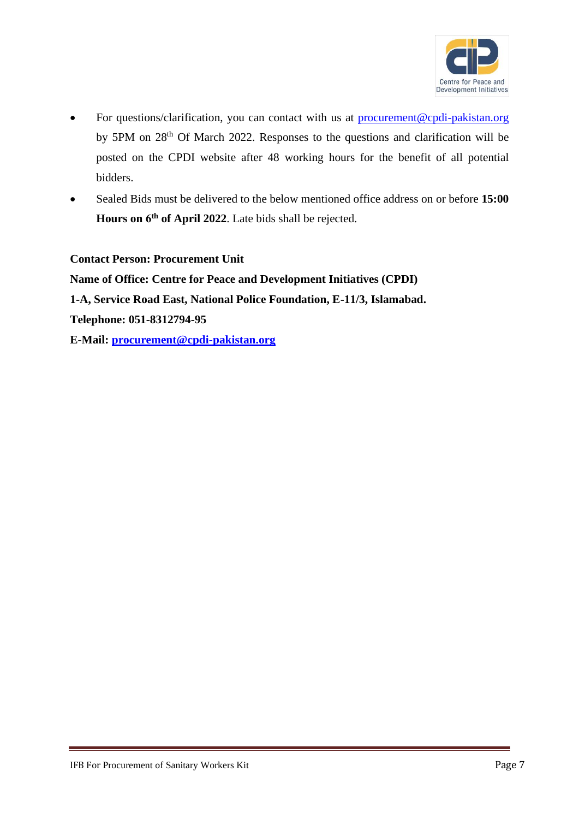

- For questions/clarification, you can contact with us at [procurement@cpdi-pakistan.org](mailto:procurement@cpdi-pakistan.org) by 5PM on 28<sup>th</sup> Of March 2022. Responses to the questions and clarification will be posted on the CPDI website after 48 working hours for the benefit of all potential bidders.
- Sealed Bids must be delivered to the below mentioned office address on or before **15:00**  Hours on 6<sup>th</sup> of April 2022. Late bids shall be rejected.

**Contact Person: Procurement Unit**

**Name of Office: Centre for Peace and Development Initiatives (CPDI) 1-A, Service Road East, National Police Foundation, E-11/3, Islamabad. Telephone: 051-8312794-95 E-Mail: [procurement@cpdi-pakistan.org](mailto:procurement@cpdi-pakistan.org)**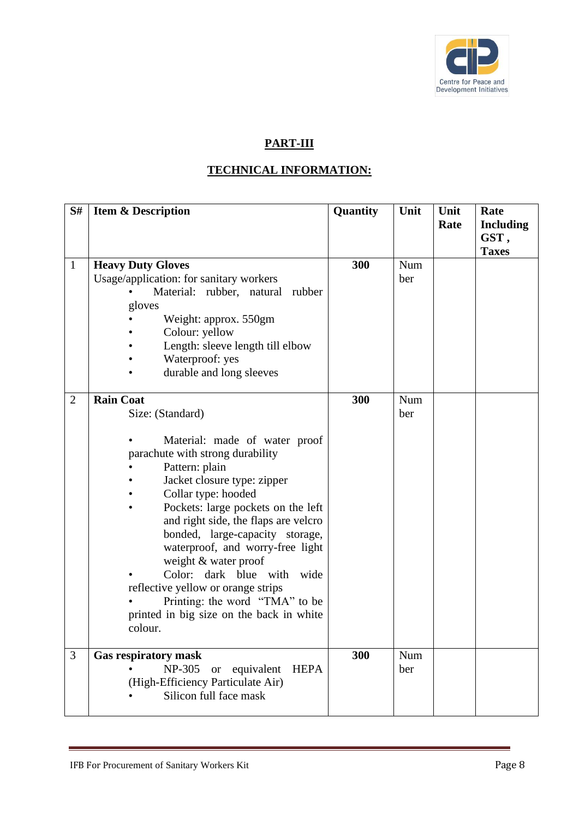

# **PART-III**

# **TECHNICAL INFORMATION:**

| S#             | <b>Item &amp; Description</b>                                                                                                                                                                                                                                                                                                                                                                                                                                                                                               | Quantity | Unit       | Unit<br>Rate | Rate<br><b>Including</b><br>GST,<br><b>Taxes</b> |
|----------------|-----------------------------------------------------------------------------------------------------------------------------------------------------------------------------------------------------------------------------------------------------------------------------------------------------------------------------------------------------------------------------------------------------------------------------------------------------------------------------------------------------------------------------|----------|------------|--------------|--------------------------------------------------|
| $\mathbf{1}$   | <b>Heavy Duty Gloves</b><br>Usage/application: for sanitary workers<br>Material: rubber, natural<br>rubber<br>gloves<br>Weight: approx. 550gm<br>Colour: yellow<br>Length: sleeve length till elbow<br>Waterproof: yes<br>durable and long sleeves                                                                                                                                                                                                                                                                          | 300      | Num<br>ber |              |                                                  |
| $\overline{2}$ | <b>Rain Coat</b><br>Size: (Standard)<br>Material: made of water proof<br>parachute with strong durability<br>Pattern: plain<br>Jacket closure type: zipper<br>Collar type: hooded<br>Pockets: large pockets on the left<br>and right side, the flaps are velcro<br>bonded, large-capacity storage,<br>waterproof, and worry-free light<br>weight & water proof<br>Color: dark blue with wide<br>reflective yellow or orange strips<br>Printing: the word "TMA" to be<br>printed in big size on the back in white<br>colour. | 300      | Num<br>ber |              |                                                  |
| 3              | <b>Gas respiratory mask</b><br>NP-305<br>equivalent<br><b>HEPA</b><br><b>or</b><br>(High-Efficiency Particulate Air)<br>Silicon full face mask                                                                                                                                                                                                                                                                                                                                                                              | 300      | Num<br>ber |              |                                                  |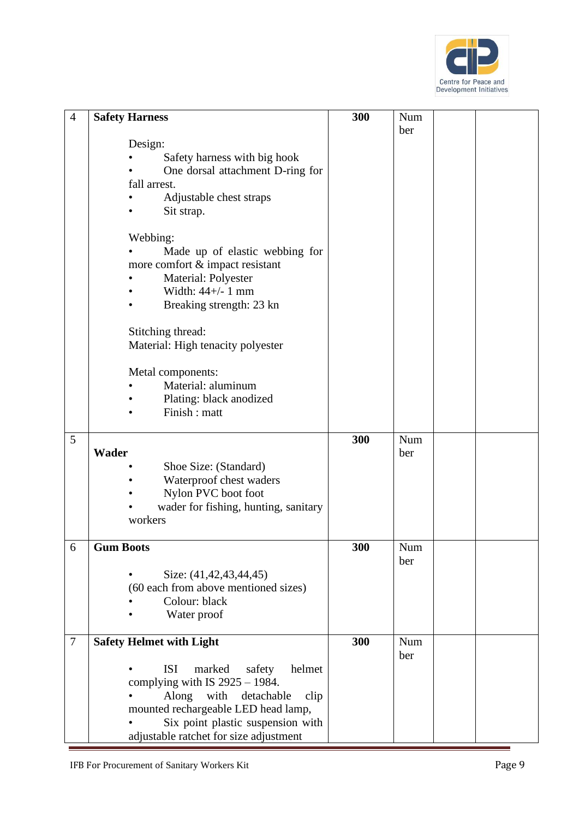

| 4      | <b>Safety Harness</b>                    | 300 | Num |  |
|--------|------------------------------------------|-----|-----|--|
|        |                                          |     | ber |  |
|        | Design:                                  |     |     |  |
|        | Safety harness with big hook             |     |     |  |
|        | One dorsal attachment D-ring for         |     |     |  |
|        | fall arrest.                             |     |     |  |
|        | Adjustable chest straps                  |     |     |  |
|        | Sit strap.                               |     |     |  |
|        |                                          |     |     |  |
|        | Webbing:                                 |     |     |  |
|        | Made up of elastic webbing for           |     |     |  |
|        | more comfort & impact resistant          |     |     |  |
|        | Material: Polyester                      |     |     |  |
|        | Width: $44+/$ - 1 mm                     |     |     |  |
|        | Breaking strength: 23 kn                 |     |     |  |
|        |                                          |     |     |  |
|        | Stitching thread:                        |     |     |  |
|        | Material: High tenacity polyester        |     |     |  |
|        |                                          |     |     |  |
|        | Metal components:                        |     |     |  |
|        | Material: aluminum                       |     |     |  |
|        | Plating: black anodized                  |     |     |  |
|        | Finish : matt                            |     |     |  |
|        |                                          |     |     |  |
| 5      |                                          | 300 | Num |  |
|        | <b>Wader</b>                             |     | ber |  |
|        | Shoe Size: (Standard)                    |     |     |  |
|        | Waterproof chest waders                  |     |     |  |
|        | Nylon PVC boot foot                      |     |     |  |
|        | wader for fishing, hunting, sanitary     |     |     |  |
|        | workers                                  |     |     |  |
|        |                                          |     |     |  |
| 6      | <b>Gum Boots</b>                         | 300 | Num |  |
|        |                                          |     | ber |  |
|        | Size: (41,42,43,44,45)                   |     |     |  |
|        | (60 each from above mentioned sizes)     |     |     |  |
|        | Colour: black                            |     |     |  |
|        | Water proof                              |     |     |  |
| $\tau$ | <b>Safety Helmet with Light</b>          | 300 | Num |  |
|        |                                          |     | ber |  |
|        | <b>ISI</b><br>marked<br>safety<br>helmet |     |     |  |
|        | complying with IS $2925 - 1984$ .        |     |     |  |
|        | with<br>Along<br>detachable<br>clip      |     |     |  |
|        | mounted rechargeable LED head lamp,      |     |     |  |
|        | Six point plastic suspension with        |     |     |  |
|        |                                          |     |     |  |
|        | adjustable ratchet for size adjustment   |     |     |  |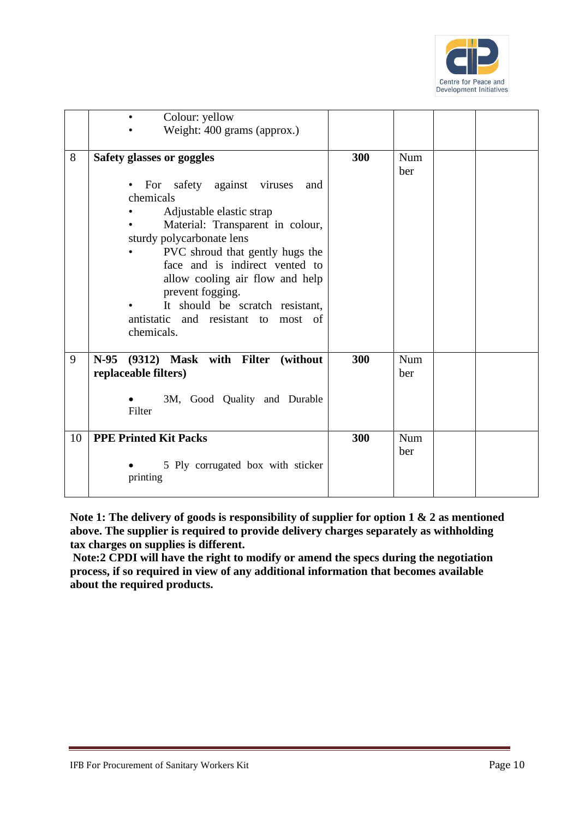

|    | Colour: yellow<br>$\bullet$<br>Weight: 400 grams (approx.)                                                                                                                                                                                                                                                                                                                                                |     |            |
|----|-----------------------------------------------------------------------------------------------------------------------------------------------------------------------------------------------------------------------------------------------------------------------------------------------------------------------------------------------------------------------------------------------------------|-----|------------|
| 8  | Safety glasses or goggles<br>For safety against viruses<br>and<br>$\bullet$<br>chemicals<br>Adjustable elastic strap<br>Material: Transparent in colour,<br>sturdy polycarbonate lens<br>PVC shroud that gently hugs the<br>face and is indirect vented to<br>allow cooling air flow and help<br>prevent fogging.<br>It should be scratch resistant,<br>antistatic and resistant to most of<br>chemicals. | 300 | Num<br>ber |
| 9  | N-95 (9312) Mask with Filter (without<br>replaceable filters)<br>3M, Good Quality and Durable<br>Filter                                                                                                                                                                                                                                                                                                   | 300 | Num<br>ber |
| 10 | <b>PPE Printed Kit Packs</b><br>5 Ply corrugated box with sticker<br>printing                                                                                                                                                                                                                                                                                                                             | 300 | Num<br>ber |

**Note 1: The delivery of goods is responsibility of supplier for option 1 & 2 as mentioned above. The supplier is required to provide delivery charges separately as withholding tax charges on supplies is different.** 

**Note:2 CPDI will have the right to modify or amend the specs during the negotiation process, if so required in view of any additional information that becomes available about the required products.**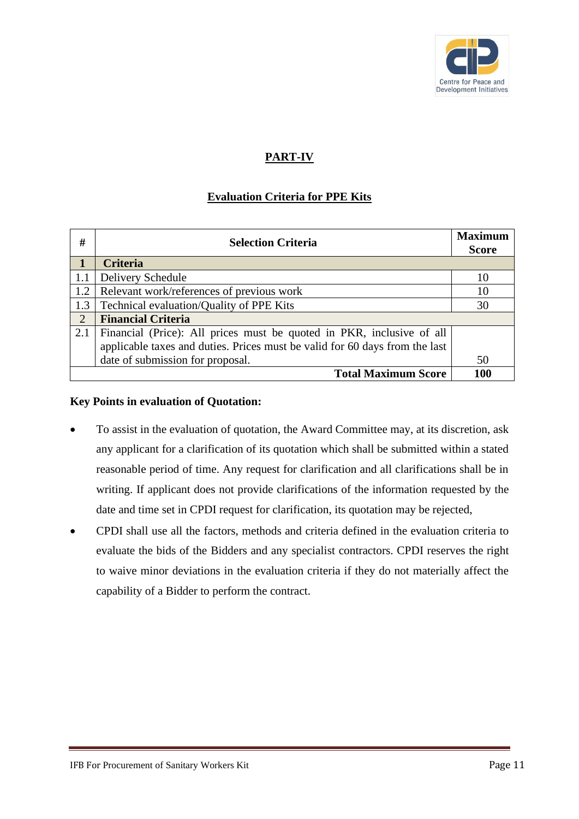

# **PART-IV**

# **Evaluation Criteria for PPE Kits**

| #   | <b>Selection Criteria</b>                                                   |     |
|-----|-----------------------------------------------------------------------------|-----|
|     | <b>Criteria</b>                                                             |     |
| 1.1 | Delivery Schedule                                                           | 10  |
| 1.2 | Relevant work/references of previous work                                   | 10  |
| 1.3 | Technical evaluation/Quality of PPE Kits                                    | 30  |
| 2   | <b>Financial Criteria</b>                                                   |     |
| 2.1 | Financial (Price): All prices must be quoted in PKR, inclusive of all       |     |
|     | applicable taxes and duties. Prices must be valid for 60 days from the last |     |
|     | date of submission for proposal.                                            | 50  |
|     | <b>Total Maximum Score</b>                                                  | 100 |

## **Key Points in evaluation of Quotation:**

- To assist in the evaluation of quotation, the Award Committee may, at its discretion, ask any applicant for a clarification of its quotation which shall be submitted within a stated reasonable period of time. Any request for clarification and all clarifications shall be in writing. If applicant does not provide clarifications of the information requested by the date and time set in CPDI request for clarification, its quotation may be rejected,
- CPDI shall use all the factors, methods and criteria defined in the evaluation criteria to evaluate the bids of the Bidders and any specialist contractors. CPDI reserves the right to waive minor deviations in the evaluation criteria if they do not materially affect the capability of a Bidder to perform the contract.